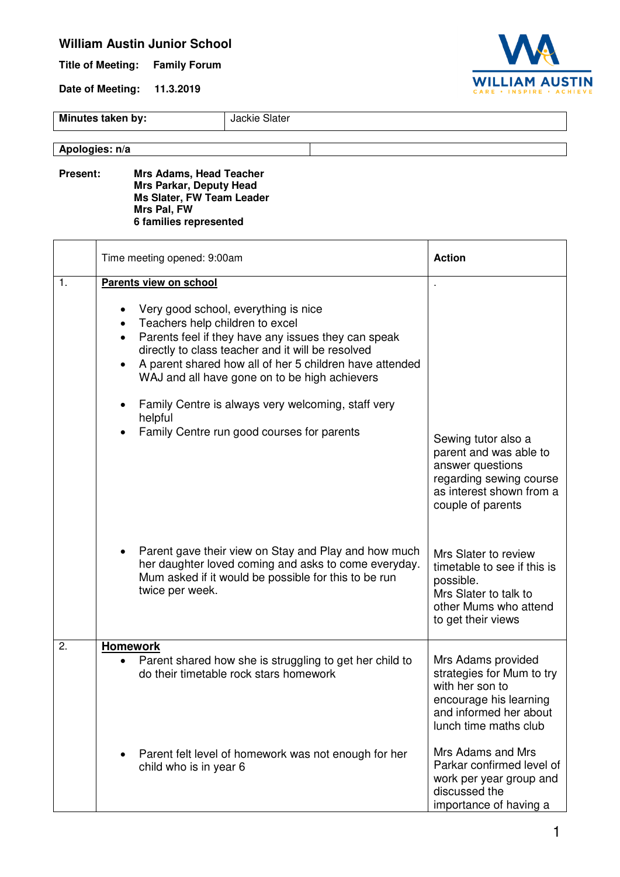## **William Austin Junior School**

**Title of Meeting: Family Forum** 

**Date of Meeting: 11.3.2019** 



**Minutes taken by:** Jackie Slater

**Apologies: n/a**

**Present: Mrs Adams, Head Teacher Mrs Parkar, Deputy Head Ms Slater, FW Team Leader Mrs Pal, FW 6 families represented** 

|                  | Time meeting opened: 9:00am                                                                                                                                                                                                                                                                                                                                                                                                                           | <b>Action</b>                                                                                                                                                                                                                                                      |
|------------------|-------------------------------------------------------------------------------------------------------------------------------------------------------------------------------------------------------------------------------------------------------------------------------------------------------------------------------------------------------------------------------------------------------------------------------------------------------|--------------------------------------------------------------------------------------------------------------------------------------------------------------------------------------------------------------------------------------------------------------------|
| 1.               | Parents view on school<br>Very good school, everything is nice<br>Teachers help children to excel<br>Parents feel if they have any issues they can speak<br>directly to class teacher and it will be resolved<br>A parent shared how all of her 5 children have attended<br>$\bullet$<br>WAJ and all have gone on to be high achievers<br>Family Centre is always very welcoming, staff very<br>helpful<br>Family Centre run good courses for parents | Sewing tutor also a                                                                                                                                                                                                                                                |
|                  | Parent gave their view on Stay and Play and how much<br>her daughter loved coming and asks to come everyday.<br>Mum asked if it would be possible for this to be run<br>twice per week.                                                                                                                                                                                                                                                               | parent and was able to<br>answer questions<br>regarding sewing course<br>as interest shown from a<br>couple of parents<br>Mrs Slater to review<br>timetable to see if this is<br>possible.<br>Mrs Slater to talk to<br>other Mums who attend<br>to get their views |
| $\overline{2}$ . | <b>Homework</b><br>Parent shared how she is struggling to get her child to<br>do their timetable rock stars homework                                                                                                                                                                                                                                                                                                                                  | Mrs Adams provided<br>strategies for Mum to try<br>with her son to<br>encourage his learning<br>and informed her about<br>lunch time maths club                                                                                                                    |
|                  | Parent felt level of homework was not enough for her<br>child who is in year 6                                                                                                                                                                                                                                                                                                                                                                        | Mrs Adams and Mrs<br>Parkar confirmed level of<br>work per year group and<br>discussed the<br>importance of having a                                                                                                                                               |